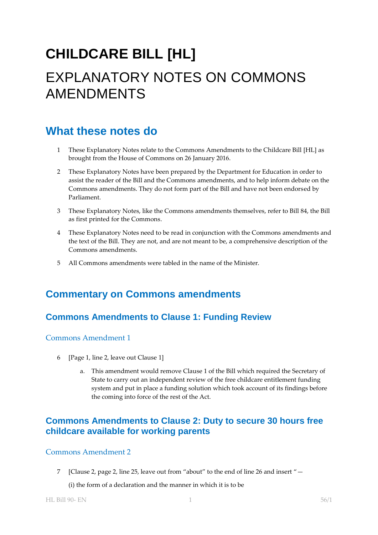# **CHILDCARE BILL [HL]** EXPLANATORY NOTES ON COMMONS AMENDMENTS

## **What these notes do**

- 1 These Explanatory Notes relate to the Commons Amendments to the Childcare Bill [HL] as brought from the House of Commons on 26 January 2016.
- 2 These Explanatory Notes have been prepared by the Department for Education in order to assist the reader of the Bill and the Commons amendments, and to help inform debate on the Commons amendments. They do not form part of the Bill and have not been endorsed by Parliament.
- 3 These Explanatory Notes, like the Commons amendments themselves, refer to Bill 84, the Bill as first printed for the Commons.
- 4 These Explanatory Notes need to be read in conjunction with the Commons amendments and the text of the Bill. They are not, and are not meant to be, a comprehensive description of the Commons amendments.
- 5 All Commons amendments were tabled in the name of the Minister.

## **Commentary on Commons amendments**

## **Commons Amendments to Clause 1: Funding Review**

#### Commons Amendment 1

- 6 [Page 1, line 2, leave out Clause 1]
	- a. This amendment would remove Clause 1 of the Bill which required the Secretary of State to carry out an independent review of the free childcare entitlement funding system and put in place a funding solution which took account of its findings before the coming into force of the rest of the Act.

## **Commons Amendments to Clause 2: Duty to secure 30 hours free childcare available for working parents**

#### Commons Amendment 2

7 [Clause 2, page 2, line 25, leave out from "about" to the end of line 26 and insert "—

(i) the form of a declaration and the manner in which it is to be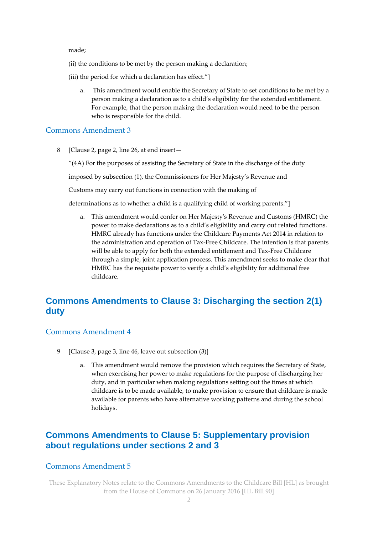made;

- (ii) the conditions to be met by the person making a declaration;
- (iii) the period for which a declaration has effect."]
	- a. This amendment would enable the Secretary of State to set conditions to be met by a person making a declaration as to a child's eligibility for the extended entitlement. For example, that the person making the declaration would need to be the person who is responsible for the child.

#### Commons Amendment 3

8 [Clause 2, page 2, line 26, at end insert—

"(4A) For the purposes of assisting the Secretary of State in the discharge of the duty

imposed by subsection (1), the Commissioners for Her Majesty's Revenue and

Customs may carry out functions in connection with the making of

determinations as to whether a child is a qualifying child of working parents."]

a. This amendment would confer on Her Majesty's Revenue and Customs (HMRC) the power to make declarations as to a child's eligibility and carry out related functions. HMRC already has functions under the Childcare Payments Act 2014 in relation to the administration and operation of Tax-Free Childcare. The intention is that parents will be able to apply for both the extended entitlement and Tax-Free Childcare through a simple, joint application process. This amendment seeks to make clear that HMRC has the requisite power to verify a child's eligibility for additional free childcare.

## **Commons Amendments to Clause 3: Discharging the section 2(1) duty**

#### Commons Amendment 4

- 9 [Clause 3, page 3, line 46, leave out subsection (3)]
	- a. This amendment would remove the provision which requires the Secretary of State, when exercising her power to make regulations for the purpose of discharging her duty, and in particular when making regulations setting out the times at which childcare is to be made available, to make provision to ensure that childcare is made available for parents who have alternative working patterns and during the school holidays.

## **Commons Amendments to Clause 5: Supplementary provision about regulations under sections 2 and 3**

#### Commons Amendment 5

These Explanatory Notes relate to the Commons Amendments to the Childcare Bill [HL] as brought from the House of Commons on 26 January 2016 [HL Bill 90]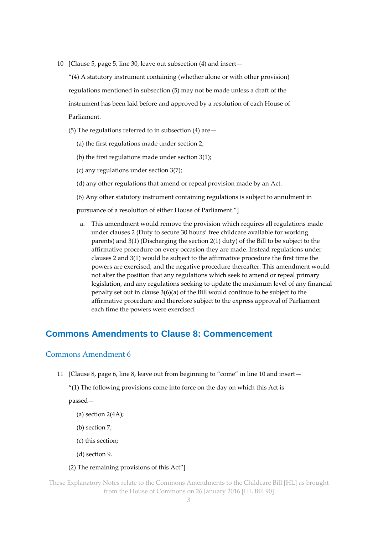10 [Clause 5, page 5, line 30, leave out subsection (4) and insert—

"(4) A statutory instrument containing (whether alone or with other provision) regulations mentioned in subsection (5) may not be made unless a draft of the instrument has been laid before and approved by a resolution of each House of Parliament.

- (5) The regulations referred to in subsection (4) are—
	- (a) the first regulations made under section 2;
	- (b) the first regulations made under section 3(1);
	- (c) any regulations under section 3(7);
	- (d) any other regulations that amend or repeal provision made by an Act.
	- (6) Any other statutory instrument containing regulations is subject to annulment in

pursuance of a resolution of either House of Parliament."]

a. This amendment would remove the provision which requires all regulations made under clauses 2 (Duty to secure 30 hours' free childcare available for working parents) and 3(1) (Discharging the section 2(1) duty) of the Bill to be subject to the affirmative procedure on every occasion they are made. Instead regulations under clauses 2 and 3(1) would be subject to the affirmative procedure the first time the powers are exercised, and the negative procedure thereafter. This amendment would not alter the position that any regulations which seek to amend or repeal primary legislation, and any regulations seeking to update the maximum level of any financial penalty set out in clause 3(6)(a) of the Bill would continue to be subject to the affirmative procedure and therefore subject to the express approval of Parliament each time the powers were exercised.

### **Commons Amendments to Clause 8: Commencement**

#### Commons Amendment 6

11 [Clause 8, page 6, line 8, leave out from beginning to "come" in line 10 and insert—

"(1) The following provisions come into force on the day on which this Act is

passed—

- (a) section 2(4A);
- (b) section 7;
- (c) this section;
- (d) section 9.

#### (2) The remaining provisions of this Act"]

These Explanatory Notes relate to the Commons Amendments to the Childcare Bill [HL] as brought from the House of Commons on 26 January 2016 [HL Bill 90]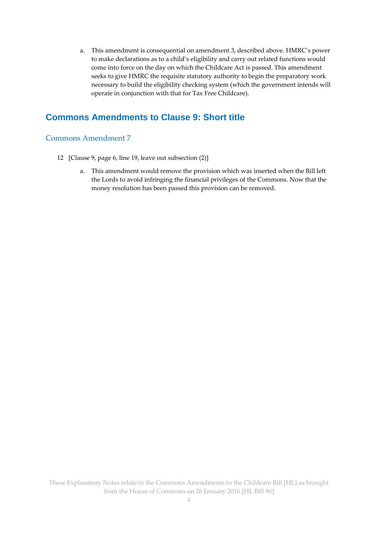a. This amendment is consequential on amendment 3, described above. HMRC's power to make declarations as to a child's eligibility and carry out related functions would come into force on the day on which the Childcare Act is passed. This amendment seeks to give HMRC the requisite statutory authority to begin the preparatory work necessary to build the eligibility checking system (which the government intends will operate in conjunction with that for Tax Free Childcare).

## **Commons Amendments to Clause 9: Short title**

#### Commons Amendment 7

- 12 [Clause 9, page 6, line 19, leave out subsection (2)]
	- a. This amendment would remove the provision which was inserted when the Bill left the Lords to avoid infringing the financial privileges of the Commons. Now that the money resolution has been passed this provision can be removed.